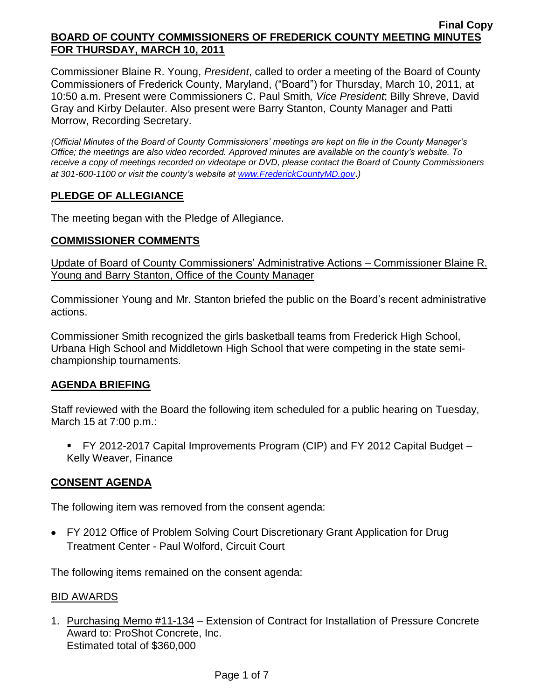Commissioner Blaine R. Young, *President*, called to order a meeting of the Board of County Commissioners of Frederick County, Maryland, ("Board") for Thursday, March 10, 2011, at 10:50 a.m. Present were Commissioners C. Paul Smith*, Vice President*; Billy Shreve, David Gray and Kirby Delauter. Also present were Barry Stanton, County Manager and Patti Morrow, Recording Secretary.

*(Official Minutes of the Board of County Commissioners' meetings are kept on file in the County Manager's Office; the meetings are also video recorded. Approved minutes are available on the county's website. To receive a copy of meetings recorded on videotape or DVD, please contact the Board of County Commissioners at 301-600-1100 or visit the county's website at [www.FrederickCountyMD.gov](http://www.frederickcountymd.gov/)*.*)*

# **PLEDGE OF ALLEGIANCE**

The meeting began with the Pledge of Allegiance.

### **COMMISSIONER COMMENTS**

Update of Board of County Commissioners' Administrative Actions – Commissioner Blaine R. Young and Barry Stanton, Office of the County Manager

Commissioner Young and Mr. Stanton briefed the public on the Board's recent administrative actions.

Commissioner Smith recognized the girls basketball teams from Frederick High School, Urbana High School and Middletown High School that were competing in the state semichampionship tournaments.

### **AGENDA BRIEFING**

Staff reviewed with the Board the following item scheduled for a public hearing on Tuesday, March 15 at 7:00 p.m.:

 FY 2012-2017 Capital Improvements Program (CIP) and FY 2012 Capital Budget – Kelly Weaver, Finance

# **CONSENT AGENDA**

The following item was removed from the consent agenda:

FY 2012 Office of Problem Solving Court Discretionary Grant Application for Drug Treatment Center - Paul Wolford, Circuit Court

The following items remained on the consent agenda:

### BID AWARDS

1. Purchasing Memo #11-134 – Extension of Contract for Installation of Pressure Concrete Award to: ProShot Concrete, Inc. Estimated total of \$360,000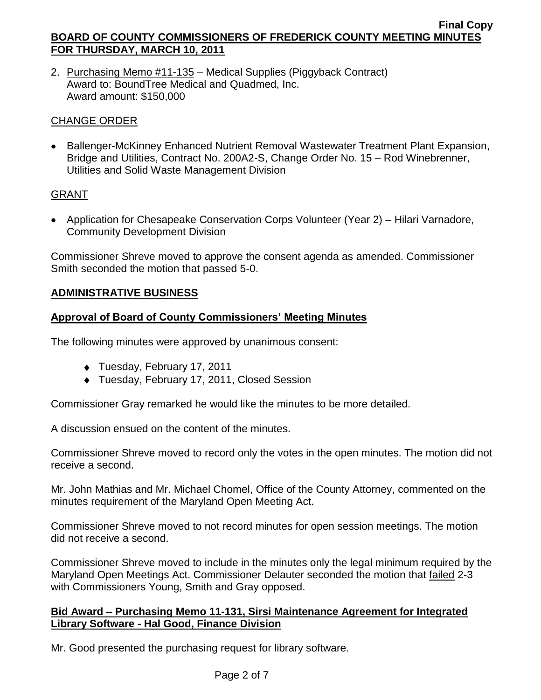2. Purchasing Memo #11-135 – Medical Supplies (Piggyback Contract) Award to: BoundTree Medical and Quadmed, Inc. Award amount: \$150,000

# CHANGE ORDER

• Ballenger-McKinney Enhanced Nutrient Removal Wastewater Treatment Plant Expansion, Bridge and Utilities, Contract No. 200A2-S, Change Order No. 15 – Rod Winebrenner, Utilities and Solid Waste Management Division

# GRANT

Application for Chesapeake Conservation Corps Volunteer (Year 2) – Hilari Varnadore, Community Development Division

Commissioner Shreve moved to approve the consent agenda as amended. Commissioner Smith seconded the motion that passed 5-0.

# **ADMINISTRATIVE BUSINESS**

# **Approval of Board of County Commissioners' Meeting Minutes**

The following minutes were approved by unanimous consent:

- ◆ Tuesday, February 17, 2011
- ◆ Tuesday, February 17, 2011, Closed Session

Commissioner Gray remarked he would like the minutes to be more detailed.

A discussion ensued on the content of the minutes.

Commissioner Shreve moved to record only the votes in the open minutes. The motion did not receive a second.

Mr. John Mathias and Mr. Michael Chomel, Office of the County Attorney, commented on the minutes requirement of the Maryland Open Meeting Act.

Commissioner Shreve moved to not record minutes for open session meetings. The motion did not receive a second.

Commissioner Shreve moved to include in the minutes only the legal minimum required by the Maryland Open Meetings Act. Commissioner Delauter seconded the motion that failed 2-3 with Commissioners Young, Smith and Gray opposed.

### **Bid Award – Purchasing Memo 11-131, Sirsi Maintenance Agreement for Integrated Library Software - Hal Good, Finance Division**

Mr. Good presented the purchasing request for library software.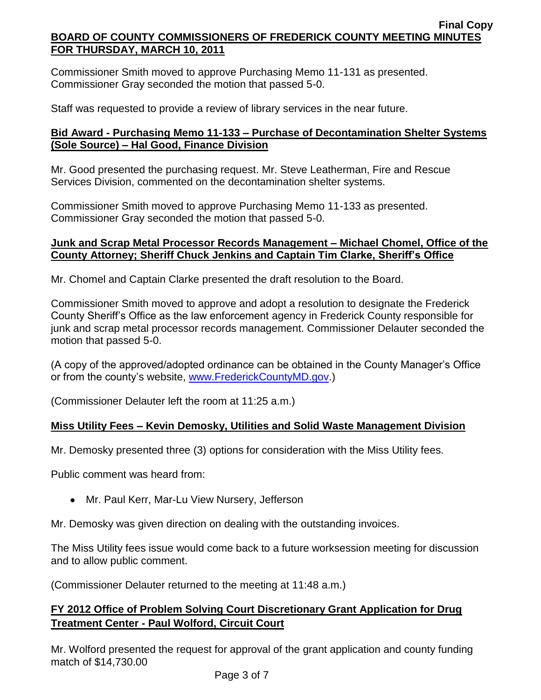Commissioner Smith moved to approve Purchasing Memo 11-131 as presented. Commissioner Gray seconded the motion that passed 5-0.

Staff was requested to provide a review of library services in the near future.

# **Bid Award - Purchasing Memo 11-133 – Purchase of Decontamination Shelter Systems (Sole Source) – Hal Good, Finance Division**

Mr. Good presented the purchasing request. Mr. Steve Leatherman, Fire and Rescue Services Division, commented on the decontamination shelter systems.

Commissioner Smith moved to approve Purchasing Memo 11-133 as presented. Commissioner Gray seconded the motion that passed 5-0.

# **Junk and Scrap Metal Processor Records Management – Michael Chomel, Office of the County Attorney; Sheriff Chuck Jenkins and Captain Tim Clarke, Sheriff's Office**

Mr. Chomel and Captain Clarke presented the draft resolution to the Board.

Commissioner Smith moved to approve and adopt a resolution to designate the Frederick County Sheriff's Office as the law enforcement agency in Frederick County responsible for junk and scrap metal processor records management. Commissioner Delauter seconded the motion that passed 5-0.

(A copy of the approved/adopted ordinance can be obtained in the County Manager's Office or from the county's website, [www.FrederickCountyMD.gov.](http://www.frederickcountymd.gov/))

(Commissioner Delauter left the room at 11:25 a.m.)

# **Miss Utility Fees – Kevin Demosky, Utilities and Solid Waste Management Division**

Mr. Demosky presented three (3) options for consideration with the Miss Utility fees.

Public comment was heard from:

• Mr. Paul Kerr, Mar-Lu View Nursery, Jefferson

Mr. Demosky was given direction on dealing with the outstanding invoices.

The Miss Utility fees issue would come back to a future worksession meeting for discussion and to allow public comment.

(Commissioner Delauter returned to the meeting at 11:48 a.m.)

# **FY 2012 Office of Problem Solving Court Discretionary Grant Application for Drug Treatment Center - Paul Wolford, Circuit Court**

Mr. Wolford presented the request for approval of the grant application and county funding match of \$14,730.00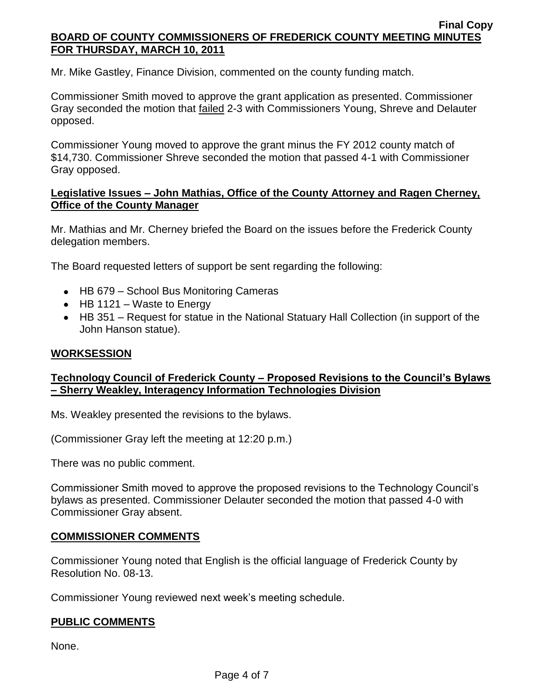Mr. Mike Gastley, Finance Division, commented on the county funding match.

Commissioner Smith moved to approve the grant application as presented. Commissioner Gray seconded the motion that failed 2-3 with Commissioners Young, Shreve and Delauter opposed.

Commissioner Young moved to approve the grant minus the FY 2012 county match of \$14,730. Commissioner Shreve seconded the motion that passed 4-1 with Commissioner Gray opposed.

## **Legislative Issues – John Mathias, Office of the County Attorney and Ragen Cherney, Office of the County Manager**

Mr. Mathias and Mr. Cherney briefed the Board on the issues before the Frederick County delegation members.

The Board requested letters of support be sent regarding the following:

- HB 679 School Bus Monitoring Cameras
- $\bullet$  HB 1121 Waste to Energy
- HB 351 Request for statue in the National Statuary Hall Collection (in support of the John Hanson statue).

# **WORKSESSION**

# **Technology Council of Frederick County – Proposed Revisions to the Council's Bylaws – Sherry Weakley, Interagency Information Technologies Division**

Ms. Weakley presented the revisions to the bylaws.

(Commissioner Gray left the meeting at 12:20 p.m.)

There was no public comment.

Commissioner Smith moved to approve the proposed revisions to the Technology Council's bylaws as presented. Commissioner Delauter seconded the motion that passed 4-0 with Commissioner Gray absent.

### **COMMISSIONER COMMENTS**

Commissioner Young noted that English is the official language of Frederick County by Resolution No. 08-13.

Commissioner Young reviewed next week's meeting schedule.

### **PUBLIC COMMENTS**

None.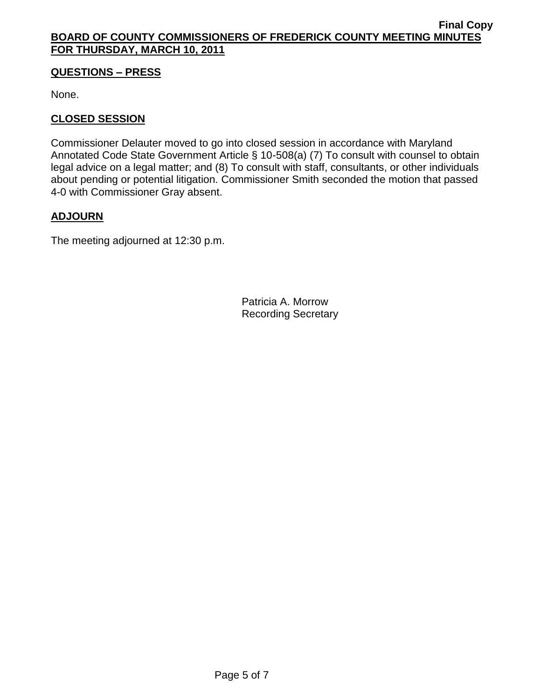## **QUESTIONS – PRESS**

None.

## **CLOSED SESSION**

Commissioner Delauter moved to go into closed session in accordance with Maryland Annotated Code State Government Article § 10-508(a) (7) To consult with counsel to obtain legal advice on a legal matter; and (8) To consult with staff, consultants, or other individuals about pending or potential litigation. Commissioner Smith seconded the motion that passed 4-0 with Commissioner Gray absent.

# **ADJOURN**

The meeting adjourned at 12:30 p.m.

Patricia A. Morrow Recording Secretary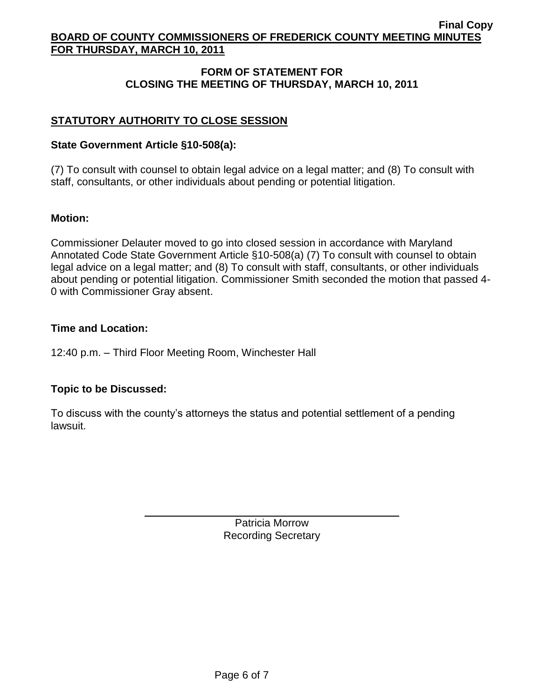# **FORM OF STATEMENT FOR CLOSING THE MEETING OF THURSDAY, MARCH 10, 2011**

# **STATUTORY AUTHORITY TO CLOSE SESSION**

## **State Government Article §10-508(a):**

(7) To consult with counsel to obtain legal advice on a legal matter; and (8) To consult with staff, consultants, or other individuals about pending or potential litigation.

# **Motion:**

Commissioner Delauter moved to go into closed session in accordance with Maryland Annotated Code State Government Article §10-508(a) (7) To consult with counsel to obtain legal advice on a legal matter; and (8) To consult with staff, consultants, or other individuals about pending or potential litigation. Commissioner Smith seconded the motion that passed 4- 0 with Commissioner Gray absent.

### **Time and Location:**

12:40 p.m. – Third Floor Meeting Room, Winchester Hall

# **Topic to be Discussed:**

To discuss with the county's attorneys the status and potential settlement of a pending lawsuit.

> Patricia Morrow Recording Secretary